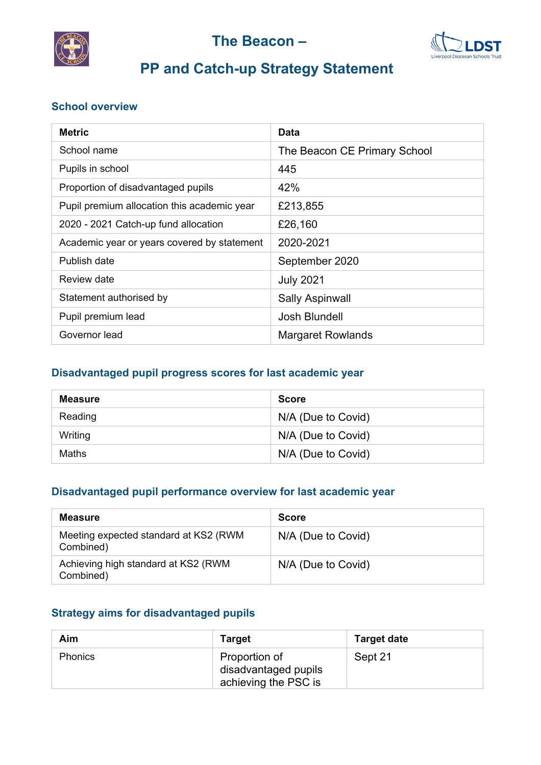



# **PP and Catch-up Strategy Statement**

#### **School overview**

| <b>Metric</b>                               | Data                         |
|---------------------------------------------|------------------------------|
| School name                                 | The Beacon CE Primary School |
| Pupils in school                            | 445                          |
| Proportion of disadvantaged pupils          | 42%                          |
| Pupil premium allocation this academic year | £213,855                     |
| 2020 - 2021 Catch-up fund allocation        | £26,160                      |
| Academic year or years covered by statement | 2020-2021                    |
| Publish date                                | September 2020               |
| Review date                                 | <b>July 2021</b>             |
| Statement authorised by                     | <b>Sally Aspinwall</b>       |
| Pupil premium lead                          | Josh Blundell                |
| Governor lead                               | <b>Margaret Rowlands</b>     |

#### **Disadvantaged pupil progress scores for last academic year**

| <b>Measure</b> | <b>Score</b>       |
|----------------|--------------------|
| Reading        | N/A (Due to Covid) |
| Writing        | N/A (Due to Covid) |
| Maths          | N/A (Due to Covid) |

#### **Disadvantaged pupil performance overview for last academic year**

| <b>Measure</b>                                     | <b>Score</b>       |
|----------------------------------------------------|--------------------|
| Meeting expected standard at KS2 (RWM<br>Combined) | N/A (Due to Covid) |
| Achieving high standard at KS2 (RWM<br>Combined)   | N/A (Due to Covid) |

#### **Strategy aims for disadvantaged pupils**

| Aim            | <b>Target</b>                                                 | <b>Target date</b> |
|----------------|---------------------------------------------------------------|--------------------|
| <b>Phonics</b> | Proportion of<br>disadvantaged pupils<br>achieving the PSC is | Sept 21            |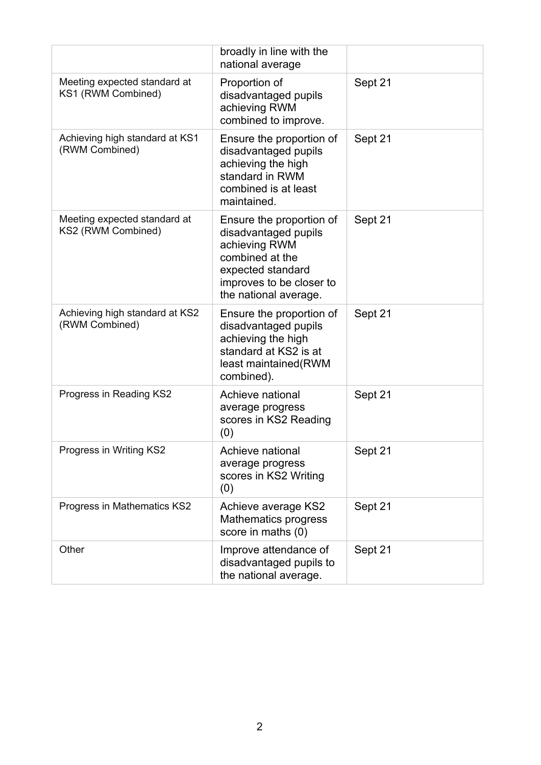|                                                    | broadly in line with the<br>national average                                                                                                                   |         |
|----------------------------------------------------|----------------------------------------------------------------------------------------------------------------------------------------------------------------|---------|
| Meeting expected standard at<br>KS1 (RWM Combined) | Proportion of<br>disadvantaged pupils<br>achieving RWM<br>combined to improve.                                                                                 | Sept 21 |
| Achieving high standard at KS1<br>(RWM Combined)   | Ensure the proportion of<br>disadvantaged pupils<br>achieving the high<br>standard in RWM<br>combined is at least<br>maintained.                               | Sept 21 |
| Meeting expected standard at<br>KS2 (RWM Combined) | Ensure the proportion of<br>disadvantaged pupils<br>achieving RWM<br>combined at the<br>expected standard<br>improves to be closer to<br>the national average. | Sept 21 |
| Achieving high standard at KS2<br>(RWM Combined)   | Ensure the proportion of<br>disadvantaged pupils<br>achieving the high<br>standard at KS2 is at<br>least maintained(RWM<br>combined).                          | Sept 21 |
| Progress in Reading KS2                            | Achieve national<br>average progress<br>scores in KS2 Reading<br>(0)                                                                                           | Sept 21 |
| Progress in Writing KS2                            | Achieve national<br>average progress<br>scores in KS2 Writing<br>(0)                                                                                           | Sept 21 |
| Progress in Mathematics KS2                        | Achieve average KS2<br>Mathematics progress<br>score in maths (0)                                                                                              | Sept 21 |
| Other                                              | Improve attendance of<br>disadvantaged pupils to<br>the national average.                                                                                      | Sept 21 |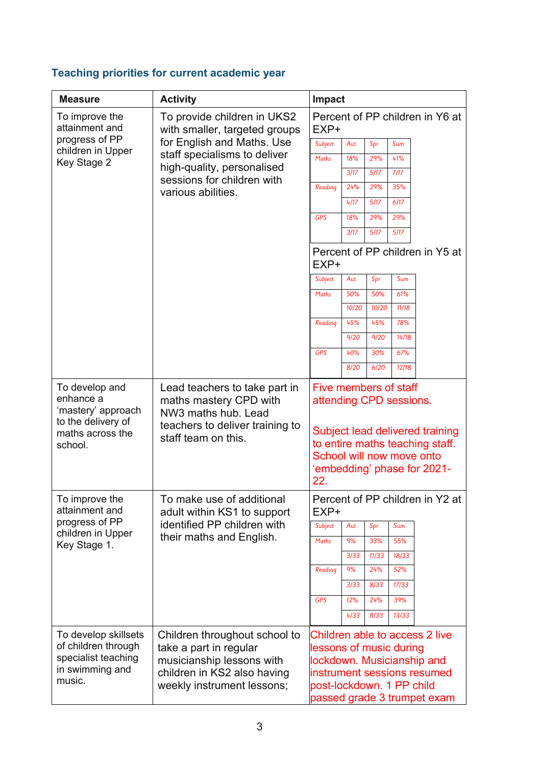## **Teaching priorities for current academic year**

| <b>Measure</b>                                                                                  | <b>Activity</b>                                                                                                                                   | Impact                                               |       |       |       |                                                                                                                            |
|-------------------------------------------------------------------------------------------------|---------------------------------------------------------------------------------------------------------------------------------------------------|------------------------------------------------------|-------|-------|-------|----------------------------------------------------------------------------------------------------------------------------|
| To improve the<br>attainment and                                                                | To provide children in UKS2<br>with smaller, targeted groups                                                                                      | EXP+                                                 |       |       |       | Percent of PP children in Y6 at                                                                                            |
| progress of PP                                                                                  | for English and Maths. Use<br>children in Upper<br>staff specialisms to deliver                                                                   | Subject                                              | Aut   | Spr   | Sum   |                                                                                                                            |
| Key Stage 2                                                                                     |                                                                                                                                                   | <b>Maths</b>                                         | 18%   | 29%   | 41%   |                                                                                                                            |
|                                                                                                 | high-quality, personalised<br>sessions for children with                                                                                          |                                                      | 3/17  | 5/17  | 7/17  |                                                                                                                            |
|                                                                                                 | various abilities.                                                                                                                                | Reading                                              | 24%   | 29%   | 35%   |                                                                                                                            |
|                                                                                                 |                                                                                                                                                   |                                                      | 4/17  | 5/17  | 6/17  |                                                                                                                            |
|                                                                                                 |                                                                                                                                                   | <b>GPS</b>                                           | 18%   | 29%   | 29%   |                                                                                                                            |
|                                                                                                 |                                                                                                                                                   |                                                      | 3/17  | 5/17  | 5/17  |                                                                                                                            |
|                                                                                                 |                                                                                                                                                   | EXP+                                                 |       |       |       | Percent of PP children in Y5 at                                                                                            |
|                                                                                                 |                                                                                                                                                   | Subject                                              | Aut   | Spr   | Sum   |                                                                                                                            |
|                                                                                                 |                                                                                                                                                   | <b>Maths</b>                                         | 50%   | 50%   | 61%   |                                                                                                                            |
|                                                                                                 |                                                                                                                                                   |                                                      | 10/20 | 10/20 | 11/18 |                                                                                                                            |
|                                                                                                 |                                                                                                                                                   | Reading                                              | 45%   | 45%   | 78%   |                                                                                                                            |
|                                                                                                 |                                                                                                                                                   |                                                      | 9/20  | 9/20  | 14/18 |                                                                                                                            |
|                                                                                                 |                                                                                                                                                   | <b>GPS</b>                                           | 40%   | 30%   | 67%   |                                                                                                                            |
|                                                                                                 |                                                                                                                                                   |                                                      | 8/20  | 6/20  | 12/18 |                                                                                                                            |
| To develop and<br>enhance a<br>'mastery' approach<br>to the delivery of                         | Lead teachers to take part in<br>maths mastery CPD with<br>NW3 maths hub. Lead<br>teachers to deliver training to                                 | Five members of staff<br>attending CPD sessions.     |       |       |       |                                                                                                                            |
| maths across the<br>school.                                                                     | staff team on this.                                                                                                                               | School will now move onto<br>22.                     |       |       |       | Subject lead delivered training<br>to entire maths teaching staff.<br>'embedding' phase for 2021-                          |
| To improve the<br>attainment and                                                                | To make use of additional<br>adult within KS1 to support                                                                                          | EXP+                                                 |       |       |       | Percent of PP children in Y2 at                                                                                            |
| progress of PP                                                                                  | identified PP children with                                                                                                                       | Subject                                              | Aut   | Spr   | Sum   |                                                                                                                            |
| children in Upper<br>Key Stage 1.                                                               | their maths and English.                                                                                                                          | Maths                                                | 9%    | 33%   | 55%   |                                                                                                                            |
|                                                                                                 |                                                                                                                                                   |                                                      | 3/33  | 11/33 | 18/33 |                                                                                                                            |
|                                                                                                 |                                                                                                                                                   | Reading                                              | 9%    | 24%   | 52%   |                                                                                                                            |
|                                                                                                 |                                                                                                                                                   |                                                      | 3/33  | 8/33  | 17/33 |                                                                                                                            |
|                                                                                                 |                                                                                                                                                   | <b>GPS</b>                                           | 12%   | 24%   | 39%   |                                                                                                                            |
|                                                                                                 |                                                                                                                                                   |                                                      | 4/33  | 8/33  | 13/33 |                                                                                                                            |
| To develop skillsets<br>of children through<br>specialist teaching<br>in swimming and<br>music. | Children throughout school to<br>take a part in regular<br>musicianship lessons with<br>children in KS2 also having<br>weekly instrument lessons; | lessons of music during<br>post-lockdown. 1 PP child |       |       |       | Children able to access 2 live<br>lockdown. Musicianship and<br>instrument sessions resumed<br>passed grade 3 trumpet exam |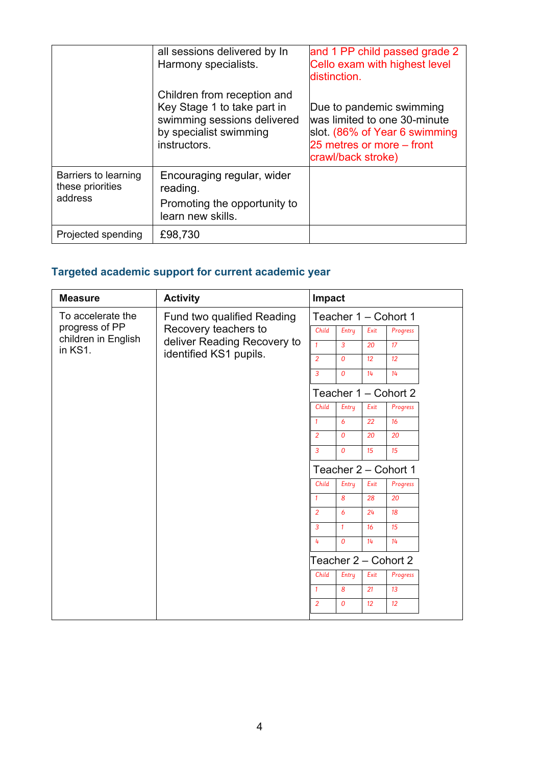|                                                     | all sessions delivered by In<br>Harmony specialists.                                                                                | and 1 PP child passed grade 2<br>Cello exam with highest level<br>distinction.                                                               |
|-----------------------------------------------------|-------------------------------------------------------------------------------------------------------------------------------------|----------------------------------------------------------------------------------------------------------------------------------------------|
|                                                     | Children from reception and<br>Key Stage 1 to take part in<br>swimming sessions delivered<br>by specialist swimming<br>instructors. | Due to pandemic swimming<br>was limited to one 30-minute<br>slot. (86% of Year 6 swimming<br>25 metres or more – front<br>crawl/back stroke) |
| Barriers to learning<br>these priorities<br>address | Encouraging regular, wider<br>reading.<br>Promoting the opportunity to<br>learn new skills.                                         |                                                                                                                                              |
| Projected spending                                  | £98,730                                                                                                                             |                                                                                                                                              |

## **Targeted academic support for current academic year**

| <b>Measure</b>                 | <b>Activity</b>                                                                   | Impact               |                      |      |                      |  |
|--------------------------------|-----------------------------------------------------------------------------------|----------------------|----------------------|------|----------------------|--|
| To accelerate the              | Fund two qualified Reading<br>Recovery teachers to<br>deliver Reading Recovery to |                      | Teacher 1 - Cohort 1 |      |                      |  |
| progress of PP                 |                                                                                   | Child                | Entry                | Exit | Progress             |  |
| children in English<br>in KS1. |                                                                                   | $\mathbf{1}$         | $\overline{3}$       | 20   | 17 <sup>2</sup>      |  |
|                                | identified KS1 pupils.                                                            | $\overline{2}$       | $\Omega$             | 12   | 12 <sup>°</sup>      |  |
|                                |                                                                                   | $\overline{3}$       | $\Omega$             | 14   | 14                   |  |
|                                |                                                                                   |                      |                      |      | Teacher 1 - Cohort 2 |  |
|                                |                                                                                   | Child                | Entry                | Exit | Progress             |  |
|                                |                                                                                   | $\mathbf{1}$         | 6                    | 22   | 16                   |  |
|                                |                                                                                   | $\overline{2}$       | $\Omega$             | 20   | 20                   |  |
|                                |                                                                                   | $\overline{3}$       | $\Omega$             | 15   | 15                   |  |
|                                |                                                                                   | Teacher 2 - Cohort 1 |                      |      |                      |  |
|                                |                                                                                   | Child                | Entry                | Exit | Progress             |  |
|                                |                                                                                   | $\mathbf{1}$         | 8                    | 28   | 20                   |  |
|                                |                                                                                   | $\overline{2}$       | 6                    | 24   | 18                   |  |
|                                |                                                                                   | $\overline{3}$       | $\mathbf{1}$         | 16   | 15                   |  |
|                                |                                                                                   | 4                    | $\Omega$             | 14   | 14                   |  |
|                                |                                                                                   |                      |                      |      | Teacher 2 - Cohort 2 |  |
|                                |                                                                                   | Child                | Entry                | Exit | Progress             |  |
|                                |                                                                                   | $\mathbf{1}$         | 8                    | 21   | 13                   |  |
|                                |                                                                                   | $\overline{2}$       | $\Omega$             | 12   | 12 <sup>°</sup>      |  |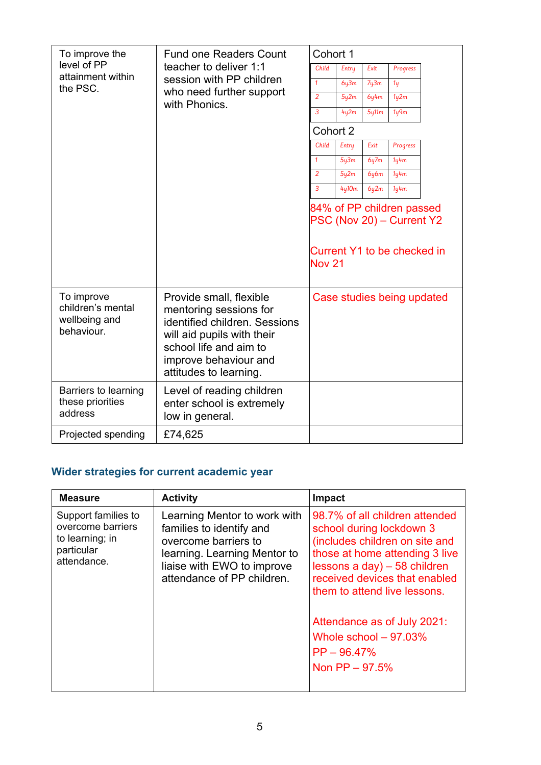| To improve the<br><b>Fund one Readers Count</b><br>level of PP<br>teacher to deliver 1:1<br>attainment within<br>session with PP children<br>the PSC. |                                                                                                                                                                                               | Cohort 1          |       |                               |                                                                                       |  |
|-------------------------------------------------------------------------------------------------------------------------------------------------------|-----------------------------------------------------------------------------------------------------------------------------------------------------------------------------------------------|-------------------|-------|-------------------------------|---------------------------------------------------------------------------------------|--|
|                                                                                                                                                       | Child                                                                                                                                                                                         | Entry             | Exit  | Progress                      |                                                                                       |  |
|                                                                                                                                                       |                                                                                                                                                                                               | $\mathbf{1}$      | 6y3m  | 7y3m                          | 1 <sub>Y</sub>                                                                        |  |
|                                                                                                                                                       | who need further support<br>with Phonics.                                                                                                                                                     | $\overline{2}$    | 5y2m  | 6y4m                          | 1 <sub>Y</sub> 2m                                                                     |  |
|                                                                                                                                                       |                                                                                                                                                                                               | 3                 | 4y2m  | 5y11m                         | 1 <sub>q</sub>                                                                        |  |
|                                                                                                                                                       |                                                                                                                                                                                               | Cohort 2          |       |                               |                                                                                       |  |
|                                                                                                                                                       |                                                                                                                                                                                               | Child             | Entry | Exit                          | Progress                                                                              |  |
|                                                                                                                                                       |                                                                                                                                                                                               | $\mathbf{1}$      | 5y3m  | 6y7m                          | 1 <sub>4m</sub>                                                                       |  |
|                                                                                                                                                       |                                                                                                                                                                                               | 2                 | 5y2m  | 6 <sub>4</sub> 6 <sub>m</sub> | 1 <sub>Y</sub> 4m                                                                     |  |
|                                                                                                                                                       |                                                                                                                                                                                               | $\overline{3}$    | 4y10m | 6y2m                          | 1y4m                                                                                  |  |
|                                                                                                                                                       |                                                                                                                                                                                               | Nov <sub>21</sub> |       |                               | 84% of PP children passed<br>PSC (Nov 20) - Current Y2<br>Current Y1 to be checked in |  |
| To improve<br>children's mental<br>wellbeing and<br>behaviour.                                                                                        | Provide small, flexible<br>mentoring sessions for<br>identified children. Sessions<br>will aid pupils with their<br>school life and aim to<br>improve behaviour and<br>attitudes to learning. |                   |       |                               | Case studies being updated                                                            |  |
| Barriers to learning<br>these priorities<br>address                                                                                                   | Level of reading children<br>enter school is extremely<br>low in general.                                                                                                                     |                   |       |                               |                                                                                       |  |
| Projected spending                                                                                                                                    | £74,625                                                                                                                                                                                       |                   |       |                               |                                                                                       |  |

## **Wider strategies for current academic year**

| <b>Measure</b>                                                                           | <b>Activity</b>                                                                                                                                                              | Impact                                                                                                                                                                                                                                                                                                                           |
|------------------------------------------------------------------------------------------|------------------------------------------------------------------------------------------------------------------------------------------------------------------------------|----------------------------------------------------------------------------------------------------------------------------------------------------------------------------------------------------------------------------------------------------------------------------------------------------------------------------------|
| Support families to<br>overcome barriers<br>to learning; in<br>particular<br>attendance. | Learning Mentor to work with<br>families to identify and<br>overcome barriers to<br>learning. Learning Mentor to<br>liaise with EWO to improve<br>attendance of PP children. | 98.7% of all children attended<br>school during lockdown 3<br>(includes children on site and<br>those at home attending 3 live<br>lessons a day) $-58$ children<br>received devices that enabled<br>them to attend live lessons.<br>Attendance as of July 2021:<br>Whole school $-97.03\%$<br>$PP - 96.47\%$<br>Non $PP - 97.5%$ |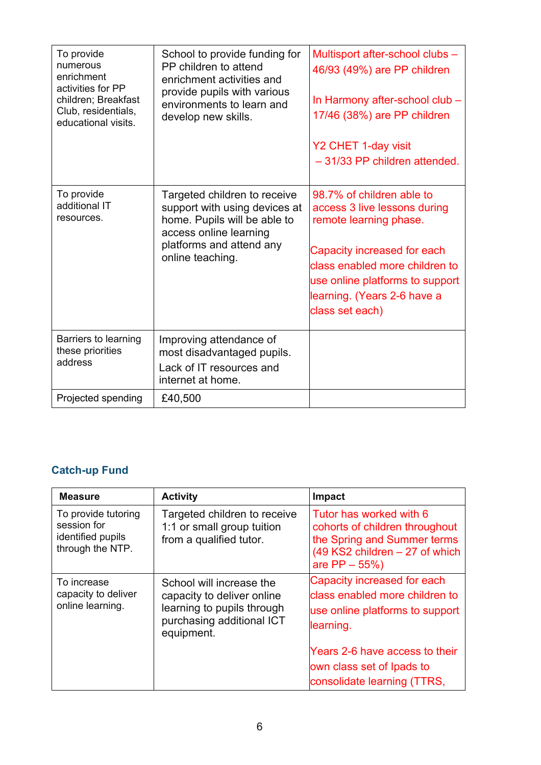| To provide<br>numerous<br>enrichment<br>activities for PP<br>children; Breakfast<br>Club, residentials,<br>educational visits. | School to provide funding for<br>PP children to attend<br>enrichment activities and<br>provide pupils with various<br>environments to learn and<br>develop new skills.  | Multisport after-school clubs -<br>46/93 (49%) are PP children<br>In Harmony after-school club -<br>17/46 (38%) are PP children<br>Y2 CHET 1-day visit<br>-31/33 PP children attended.                                                    |
|--------------------------------------------------------------------------------------------------------------------------------|-------------------------------------------------------------------------------------------------------------------------------------------------------------------------|-------------------------------------------------------------------------------------------------------------------------------------------------------------------------------------------------------------------------------------------|
| To provide<br>additional IT<br>resources.                                                                                      | Targeted children to receive<br>support with using devices at<br>home. Pupils will be able to<br>access online learning<br>platforms and attend any<br>online teaching. | 98.7% of children able to<br>access 3 live lessons during<br>remote learning phase.<br>Capacity increased for each<br>class enabled more children to<br>use online platforms to support<br>learning. (Years 2-6 have a<br>class set each) |
| Barriers to learning<br>these priorities<br>address                                                                            | Improving attendance of<br>most disadvantaged pupils.<br>Lack of IT resources and<br>internet at home.                                                                  |                                                                                                                                                                                                                                           |
| Projected spending                                                                                                             | £40,500                                                                                                                                                                 |                                                                                                                                                                                                                                           |

## **Catch-up Fund**

| <b>Measure</b>                                                              | <b>Activity</b>                                                                                                                 | Impact                                                                                                                                                                                                      |
|-----------------------------------------------------------------------------|---------------------------------------------------------------------------------------------------------------------------------|-------------------------------------------------------------------------------------------------------------------------------------------------------------------------------------------------------------|
| To provide tutoring<br>session for<br>identified pupils<br>through the NTP. | Targeted children to receive<br>1:1 or small group tuition<br>from a qualified tutor.                                           | Tutor has worked with 6<br>cohorts of children throughout<br>the Spring and Summer terms<br>$(49$ KS2 children $-27$ of which<br>are $PP - 55\%)$                                                           |
| To increase<br>capacity to deliver<br>online learning.                      | School will increase the<br>capacity to deliver online<br>learning to pupils through<br>purchasing additional ICT<br>equipment. | Capacity increased for each<br>class enabled more children to<br>use online platforms to support<br>learning.<br>Years 2-6 have access to their<br>own class set of Ipads to<br>consolidate learning (TTRS, |